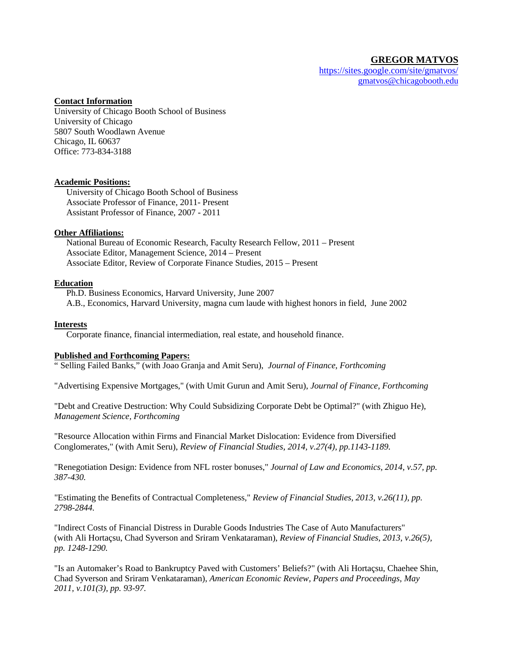# **GREGOR MATVOS**

<https://sites.google.com/site/gmatvos/> [gmatvos@chicagobooth.edu](mailto:gmatvos@hbs.edu)

## **Contact Information**

University of Chicago Booth School of Business University of Chicago 5807 South Woodlawn Avenue Chicago, IL 60637 Office: 773-834-3188

#### **Academic Positions:**

University of Chicago Booth School of Business Associate Professor of Finance, 2011- Present Assistant Professor of Finance, 2007 - 2011

## **Other Affiliations:**

National Bureau of Economic Research, Faculty Research Fellow, 2011 – Present Associate Editor, Management Science, 2014 – Present Associate Editor, Review of Corporate Finance Studies, 2015 – Present

## **Education**

Ph.D. Business Economics, Harvard University, June 2007 A.B., Economics, Harvard University, magna cum laude with highest honors in field, June 2002

## **Interests**

Corporate finance, financial intermediation, real estate, and household finance.

## **Published and Forthcoming Papers:**

" Selling Failed Banks," (with Joao Granja and Amit Seru), *Journal of Finance, Forthcoming*

"Advertising Expensive Mortgages," (with Umit Gurun and Amit Seru), *Journal of Finance, Forthcoming*

"Debt and Creative Destruction: Why Could Subsidizing Corporate Debt be Optimal?" (with Zhiguo He), *Management Science, Forthcoming*

"Resource Allocation within Firms and Financial Market Dislocation: Evidence from Diversified Conglomerates," (with Amit Seru), *Review of Financial Studies, 2014, v.27(4), pp.1143-1189.*

"Renegotiation Design: Evidence from NFL roster bonuses," *Journal of Law and Economics, 2014, v.57, pp. 387-430.*

"Estimating the Benefits of Contractual Completeness," *Review of Financial Studies, 2013, v.26(11), pp. 2798-2844.*

"Indirect Costs of Financial Distress in Durable Goods Industries The Case of Auto Manufacturers" (with Ali Hortaçsu, Chad Syverson and Sriram Venkataraman), *Review of Financial Studies, 2013, v.26(5), pp. 1248-1290.*

"Is an Automaker's Road to Bankruptcy Paved with Customers' Beliefs?" (with Ali Hortaçsu, Chaehee Shin, Chad Syverson and Sriram Venkataraman), *American Economic Review, Papers and Proceedings, May 2011, v.101(3), pp. 93-97.*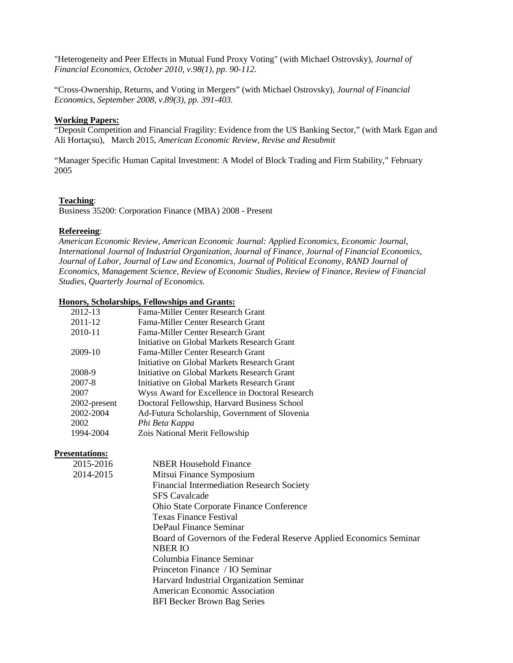"Heterogeneity and Peer Effects in Mutual Fund Proxy Voting" (with Michael Ostrovsky), *Journal of Financial Economics, October 2010, v.98(1), pp. 90-112.*

"Cross-Ownership, Returns, and Voting in Mergers" (with Michael Ostrovsky), *Journal of Financial Economics, September 2008, v.89(3), pp. 391-403.*

## **Working Papers:**

"Deposit Competition and Financial Fragility: Evidence from the US Banking Sector," (with Mark Egan and Ali Hortaçsu), March 2015, *American Economic Review, Revise and Resubmit*

"Manager Specific Human Capital Investment: A Model of Block Trading and Firm Stability," February 2005

## **Teaching**:

Business 35200: Corporation Finance (MBA) 2008 - Present

#### **Refereeing**:

*American Economic Review, American Economic Journal: Applied Economics, Economic Journal, International Journal of Industrial Organization, Journal of Finance, Journal of Financial Economics, Journal of Labor, Journal of Law and Economics, Journal of Political Economy, RAND Journal of Economics, Management Science, Review of Economic Studies, Review of Finance, Review of Financial Studies, Quarterly Journal of Economics.* 

#### **Honors, Scholarships, Fellowships and Grants:**

| 2012-13      | Fama-Miller Center Research Grant              |
|--------------|------------------------------------------------|
| 2011-12      | Fama-Miller Center Research Grant              |
| 2010-11      | Fama-Miller Center Research Grant              |
|              | Initiative on Global Markets Research Grant    |
| 2009-10      | Fama-Miller Center Research Grant              |
|              | Initiative on Global Markets Research Grant    |
| 2008-9       | Initiative on Global Markets Research Grant    |
| 2007-8       | Initiative on Global Markets Research Grant    |
| 2007         | Wyss Award for Excellence in Doctoral Research |
| 2002-present | Doctoral Fellowship, Harvard Business School   |
| 2002-2004    | Ad-Futura Scholarship, Government of Slovenia  |
| 2002         | Phi Beta Kappa                                 |
| 1994-2004    | Zois National Merit Fellowship                 |
|              |                                                |

### **Presentations:**

| 2015-2016 | <b>NBER Household Finance</b>                                       |
|-----------|---------------------------------------------------------------------|
| 2014-2015 | Mitsui Finance Symposium                                            |
|           | <b>Financial Intermediation Research Society</b>                    |
|           | <b>SFS</b> Cavalcade                                                |
|           | <b>Ohio State Corporate Finance Conference</b>                      |
|           | <b>Texas Finance Festival</b>                                       |
|           | DePaul Finance Seminar                                              |
|           | Board of Governors of the Federal Reserve Applied Economics Seminar |
|           | <b>NBER IO</b>                                                      |
|           | Columbia Finance Seminar                                            |
|           | Princeton Finance / IO Seminar                                      |
|           | Harvard Industrial Organization Seminar                             |
|           | American Economic Association                                       |
|           | <b>BFI Becker Brown Bag Series</b>                                  |
|           |                                                                     |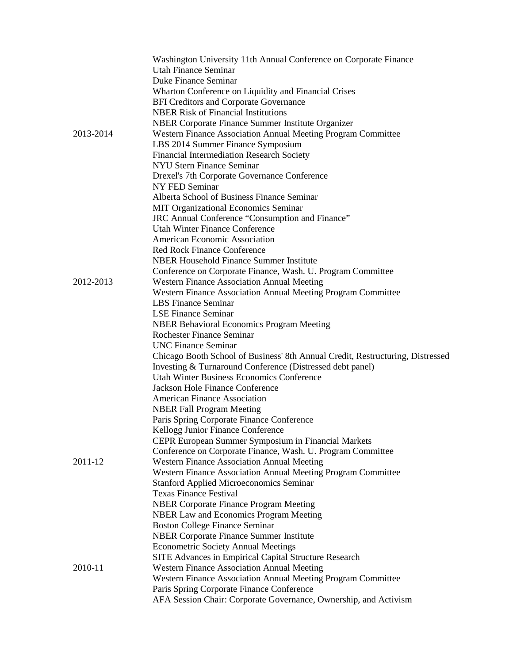|           | Washington University 11th Annual Conference on Corporate Finance                                             |
|-----------|---------------------------------------------------------------------------------------------------------------|
|           | <b>Utah Finance Seminar</b>                                                                                   |
|           | Duke Finance Seminar                                                                                          |
|           | Wharton Conference on Liquidity and Financial Crises                                                          |
|           | <b>BFI Creditors and Corporate Governance</b>                                                                 |
|           | <b>NBER Risk of Financial Institutions</b>                                                                    |
|           | NBER Corporate Finance Summer Institute Organizer                                                             |
| 2013-2014 | Western Finance Association Annual Meeting Program Committee                                                  |
|           | LBS 2014 Summer Finance Symposium                                                                             |
|           | Financial Intermediation Research Society                                                                     |
|           | <b>NYU Stern Finance Seminar</b>                                                                              |
|           | Drexel's 7th Corporate Governance Conference                                                                  |
|           | NY FED Seminar                                                                                                |
|           | Alberta School of Business Finance Seminar                                                                    |
|           | MIT Organizational Economics Seminar                                                                          |
|           | JRC Annual Conference "Consumption and Finance"                                                               |
|           | Utah Winter Finance Conference                                                                                |
|           | American Economic Association                                                                                 |
|           | <b>Red Rock Finance Conference</b>                                                                            |
|           | <b>NBER Household Finance Summer Institute</b>                                                                |
|           | Conference on Corporate Finance, Wash. U. Program Committee                                                   |
| 2012-2013 | <b>Western Finance Association Annual Meeting</b>                                                             |
|           | Western Finance Association Annual Meeting Program Committee                                                  |
|           | <b>LBS</b> Finance Seminar                                                                                    |
|           | <b>LSE Finance Seminar</b>                                                                                    |
|           | <b>NBER Behavioral Economics Program Meeting</b>                                                              |
|           | <b>Rochester Finance Seminar</b>                                                                              |
|           | <b>UNC Finance Seminar</b>                                                                                    |
|           | Chicago Booth School of Business' 8th Annual Credit, Restructuring, Distressed                                |
|           | Investing & Turnaround Conference (Distressed debt panel)                                                     |
|           | Utah Winter Business Economics Conference                                                                     |
|           | Jackson Hole Finance Conference                                                                               |
|           | <b>American Finance Association</b>                                                                           |
|           | <b>NBER Fall Program Meeting</b>                                                                              |
|           | Paris Spring Corporate Finance Conference                                                                     |
|           | Kellogg Junior Finance Conference                                                                             |
|           | CEPR European Summer Symposium in Financial Markets                                                           |
|           | Conference on Corporate Finance, Wash. U. Program Committee                                                   |
| 2011-12   | <b>Western Finance Association Annual Meeting</b>                                                             |
|           | Western Finance Association Annual Meeting Program Committee                                                  |
|           | <b>Stanford Applied Microeconomics Seminar</b>                                                                |
|           | <b>Texas Finance Festival</b>                                                                                 |
|           | <b>NBER Corporate Finance Program Meeting</b>                                                                 |
|           | <b>NBER Law and Economics Program Meeting</b>                                                                 |
|           | <b>Boston College Finance Seminar</b>                                                                         |
|           | <b>NBER Corporate Finance Summer Institute</b>                                                                |
|           | <b>Econometric Society Annual Meetings</b>                                                                    |
|           | SITE Advances in Empirical Capital Structure Research                                                         |
| 2010-11   | <b>Western Finance Association Annual Meeting</b>                                                             |
|           | Western Finance Association Annual Meeting Program Committee                                                  |
|           |                                                                                                               |
|           | Paris Spring Corporate Finance Conference<br>AFA Session Chair: Corporate Governance, Ownership, and Activism |